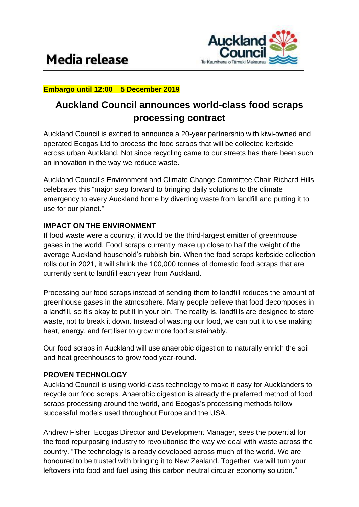

## **Embargo until 12:00 5 December 2019**

# **Auckland Council announces world-class food scraps processing contract**

Auckland Council is excited to announce a 20-year partnership with kiwi-owned and operated Ecogas Ltd to process the food scraps that will be collected kerbside across urban Auckland. Not since recycling came to our streets has there been such an innovation in the way we reduce waste.

Auckland Council's Environment and Climate Change Committee Chair Richard Hills celebrates this "major step forward to bringing daily solutions to the climate emergency to every Auckland home by diverting waste from landfill and putting it to use for our planet."

### **IMPACT ON THE ENVIRONMENT**

If food waste were a country, it would be the third-largest emitter of greenhouse gases in the world. Food scraps currently make up close to half the weight of the average Auckland household's rubbish bin. When the food scraps kerbside collection rolls out in 2021, it will shrink the 100,000 tonnes of domestic food scraps that are currently sent to landfill each year from Auckland.

Processing our food scraps instead of sending them to landfill reduces the amount of greenhouse gases in the atmosphere. Many people believe that food decomposes in a landfill, so it's okay to put it in your bin. The reality is, landfills are designed to store waste, not to break it down. Instead of wasting our food, we can put it to use making heat, energy, and fertiliser to grow more food sustainably.

Our food scraps in Auckland will use anaerobic digestion to naturally enrich the soil and heat greenhouses to grow food year-round.

# **PROVEN TECHNOLOGY**

Auckland Council is using world-class technology to make it easy for Aucklanders to recycle our food scraps. Anaerobic digestion is already the preferred method of food scraps processing around the world, and Ecogas's processing methods follow successful models used throughout Europe and the USA.

Andrew Fisher, Ecogas Director and Development Manager, sees the potential for the food repurposing industry to revolutionise the way we deal with waste across the country. "The technology is already developed across much of the world. We are honoured to be trusted with bringing it to New Zealand. Together, we will turn your leftovers into food and fuel using this carbon neutral circular economy solution."